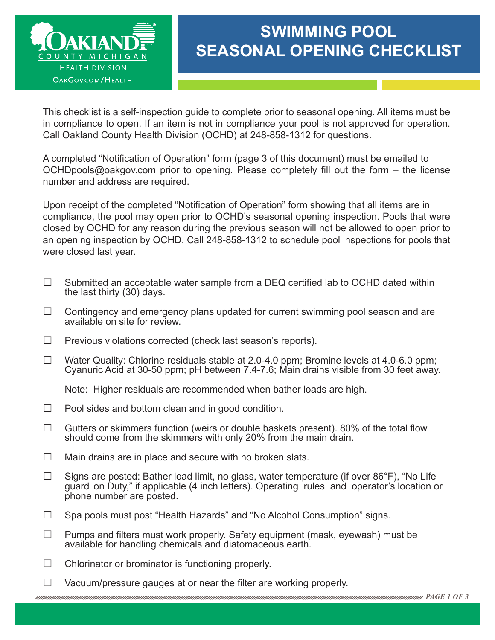

## **SWIMMING POOL SEASONAL OPENING CHECKLIST**

This checklist is a self-inspection guide to complete prior to seasonal opening. All items must be in compliance to open. If an item is not in compliance your pool is not approved for operation. Call Oakland County Health Division (OCHD) at 248-858-1312 for questions.

A completed "Notification of Operation" form (page 3 of this document) must be emailed to [OCHDpools@oakgov.com pr](mailto:OCHDpools@oakgov.com)ior to opening. Please completely fill out the form – the license number and address are required.

Upon receipt of the completed "Notification of Operation" form showing that all items are in compliance, the pool may open prior to OCHD's seasonal opening inspection. Pools that were closed by OCHD for any reason during the previous season will not be allowed to open prior to an opening inspection by OCHD. Call 248-858-1312 to schedule pool inspections for pools that were closed last year.

- $\Box$  Submitted an acceptable water sample from a DEQ certified lab to OCHD dated within the last thirty (30) days.
- $\Box$  Contingency and emergency plans updated for current swimming pool season and are available on site for review.
- $\Box$  Previous violations corrected (check last season's reports).
- □ Water Quality: Chlorine residuals stable at 2.0-4.0 ppm; Bromine levels at 4.0-6.0 ppm; Cyanuric Acid at 30-50 ppm; pH between 7.4-7.6; Main drains visible from 30 feet away.

Note: Higher residuals are recommended when bather loads are high.

- $\Box$  Pool sides and bottom clean and in good condition.
- $\Box$  Gutters or skimmers function (weirs or double baskets present). 80% of the total flow should come from the skimmers with only 20% from the main drain.
- $\Box$  Main drains are in place and secure with no broken slats.
- $\Box$  Signs are posted: Bather load limit, no glass, water temperature (if over 86°F), "No Life guard on Duty," if applicable (4 inch letters). Operating rules and operator's location or phone number are posted.
- □ Spa pools must post "Health Hazards" and "No Alcohol Consumption" signs.
- $\Box$  Pumps and filters must work properly. Safety equipment (mask, eyewash) must be available for handling chemicals and diatomaceous earth.
- $\Box$  Chlorinator or brominator is functioning properly.
- $\Box$  Vacuum/pressure gauges at or near the filter are working properly.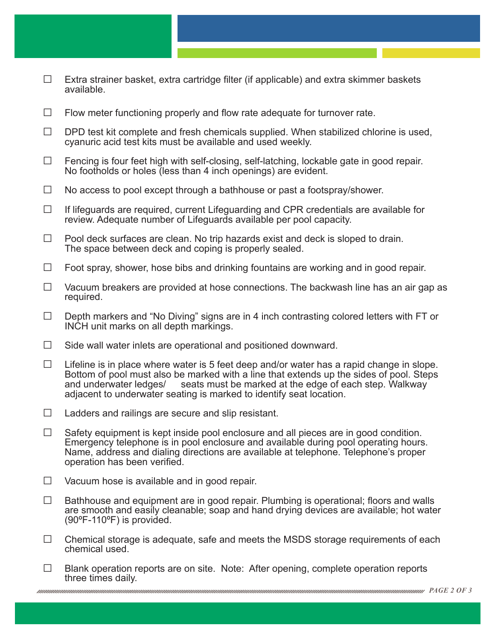- $\Box$  Extra strainer basket, extra cartridge filter (if applicable) and extra skimmer baskets available.
- $\Box$  Flow meter functioning properly and flow rate adequate for turnover rate.
- $\Box$  DPD test kit complete and fresh chemicals supplied. When stabilized chlorine is used, cyanuric acid test kits must be available and used weekly.
- □ Fencing is four feet high with self-closing, self-latching, lockable gate in good repair.<br>No footholds or holes (less than 4 inch openings) are evident.
- $\Box$  No access to pool except through a bathhouse or past a footspray/shower.
- $\Box$  If lifeguards are required, current Lifeguarding and CPR credentials are available for review. Adequate number of Lifeguards available per pool capacity.
- $\Box$  Pool deck surfaces are clean. No trip hazards exist and deck is sloped to drain. The space between deck and coping is properly sealed.
- $\Box$  Foot spray, shower, hose bibs and drinking fountains are working and in good repair.
- $\Box$  Vacuum breakers are provided at hose connections. The backwash line has an air gap as required.
- $\Box$  Depth markers and "No Diving" signs are in 4 inch contrasting colored letters with FT or INCH unit marks on all depth markings.
- $\Box$  Side wall water inlets are operational and positioned downward.
- $\Box$  Lifeline is in place where water is 5 feet deep and/or water has a rapid change in slope. Bottom of pool must also be marked with a line that extends up the sides of pool. Steps and underwater ledges/<br>and underwater ledges/ seats must be marked at the edge of each step. Walkway seats must be marked at the edge of each step. Walkway adjacent to underwater seating is marked to identify seat location.
- $\Box$  Ladders and railings are secure and slip resistant.
- $\Box$  Safety equipment is kept inside pool enclosure and all pieces are in good condition. Emergency telephone is in pool enclosure and available during pool operating hours. Name, address and dialing directions are available at telephone. Telephone's proper operation has been verified.
- $\Box$  Vacuum hose is available and in good repair.
- $\Box$  Bathhouse and equipment are in good repair. Plumbing is operational; floors and walls are smooth and easily cleanable; soap and hand drying devices are available; hot water (90ºF-110ºF) is provided.
- $\square$  Chemical storage is adequate, safe and meets the MSDS storage requirements of each chemical used.
- $\Box$  Blank operation reports are on site. Note: After opening, complete operation reports three times daily.